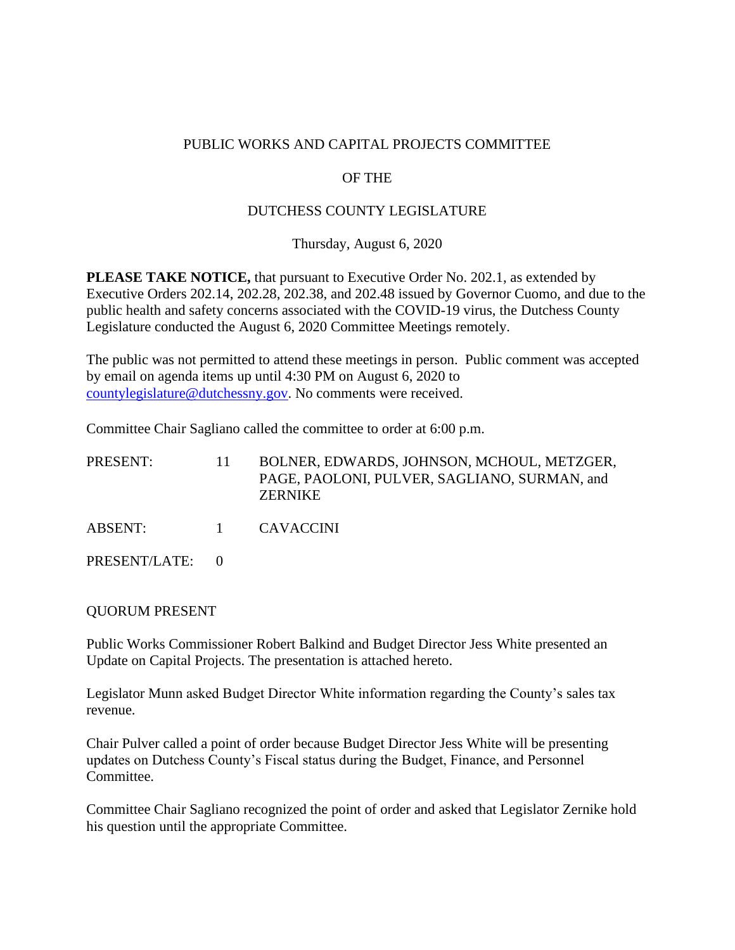#### PUBLIC WORKS AND CAPITAL PROJECTS COMMITTEE

#### OF THE

#### DUTCHESS COUNTY LEGISLATURE

Thursday, August 6, 2020

**PLEASE TAKE NOTICE,** that pursuant to Executive Order No. 202.1, as extended by Executive Orders 202.14, 202.28, 202.38, and 202.48 issued by Governor Cuomo, and due to the public health and safety concerns associated with the COVID-19 virus, the Dutchess County Legislature conducted the August 6, 2020 Committee Meetings remotely.

The public was not permitted to attend these meetings in person. Public comment was accepted by email on agenda items up until 4:30 PM on August 6, 2020 to [countylegislature@dutchessny.gov.](mailto:countylegislature@dutchessny.gov) No comments were received.

Committee Chair Sagliano called the committee to order at 6:00 p.m.

| PRESENT:      | -11- | BOLNER, EDWARDS, JOHNSON, MCHOUL, METZGER,<br>PAGE, PAOLONI, PULVER, SAGLIANO, SURMAN, and<br><b>ZERNIKE</b> |
|---------------|------|--------------------------------------------------------------------------------------------------------------|
| ABSENT:       |      | 1 CAVACCINI                                                                                                  |
| PRESENT/LATE: |      |                                                                                                              |

#### QUORUM PRESENT

Public Works Commissioner Robert Balkind and Budget Director Jess White presented an Update on Capital Projects. The presentation is attached hereto.

Legislator Munn asked Budget Director White information regarding the County's sales tax revenue.

Chair Pulver called a point of order because Budget Director Jess White will be presenting updates on Dutchess County's Fiscal status during the Budget, Finance, and Personnel Committee.

Committee Chair Sagliano recognized the point of order and asked that Legislator Zernike hold his question until the appropriate Committee.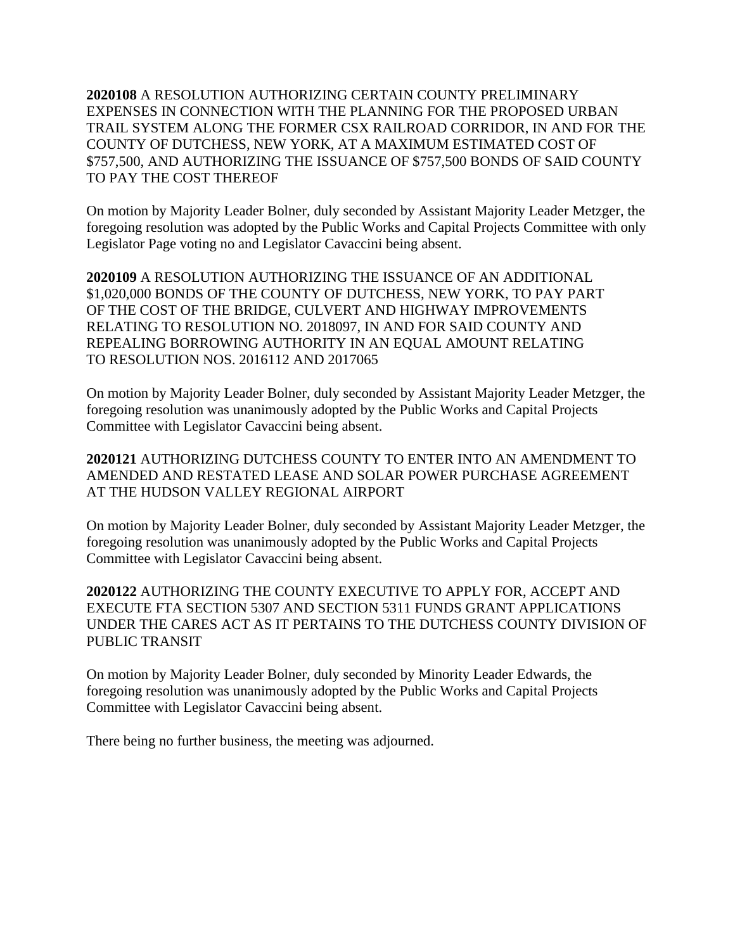**2020108** A RESOLUTION AUTHORIZING CERTAIN COUNTY PRELIMINARY EXPENSES IN CONNECTION WITH THE PLANNING FOR THE PROPOSED URBAN TRAIL SYSTEM ALONG THE FORMER CSX RAILROAD CORRIDOR, IN AND FOR THE COUNTY OF DUTCHESS, NEW YORK, AT A MAXIMUM ESTIMATED COST OF \$757,500, AND AUTHORIZING THE ISSUANCE OF \$757,500 BONDS OF SAID COUNTY TO PAY THE COST THEREOF

On motion by Majority Leader Bolner, duly seconded by Assistant Majority Leader Metzger, the foregoing resolution was adopted by the Public Works and Capital Projects Committee with only Legislator Page voting no and Legislator Cavaccini being absent.

**2020109** A RESOLUTION AUTHORIZING THE ISSUANCE OF AN ADDITIONAL \$1,020,000 BONDS OF THE COUNTY OF DUTCHESS, NEW YORK, TO PAY PART OF THE COST OF THE BRIDGE, CULVERT AND HIGHWAY IMPROVEMENTS RELATING TO RESOLUTION NO. 2018097, IN AND FOR SAID COUNTY AND REPEALING BORROWING AUTHORITY IN AN EQUAL AMOUNT RELATING TO RESOLUTION NOS. 2016112 AND 2017065

On motion by Majority Leader Bolner, duly seconded by Assistant Majority Leader Metzger, the foregoing resolution was unanimously adopted by the Public Works and Capital Projects Committee with Legislator Cavaccini being absent.

**2020121** AUTHORIZING DUTCHESS COUNTY TO ENTER INTO AN AMENDMENT TO AMENDED AND RESTATED LEASE AND SOLAR POWER PURCHASE AGREEMENT AT THE HUDSON VALLEY REGIONAL AIRPORT

On motion by Majority Leader Bolner, duly seconded by Assistant Majority Leader Metzger, the foregoing resolution was unanimously adopted by the Public Works and Capital Projects Committee with Legislator Cavaccini being absent.

**2020122** AUTHORIZING THE COUNTY EXECUTIVE TO APPLY FOR, ACCEPT AND EXECUTE FTA SECTION 5307 AND SECTION 5311 FUNDS GRANT APPLICATIONS UNDER THE CARES ACT AS IT PERTAINS TO THE DUTCHESS COUNTY DIVISION OF PUBLIC TRANSIT

On motion by Majority Leader Bolner, duly seconded by Minority Leader Edwards, the foregoing resolution was unanimously adopted by the Public Works and Capital Projects Committee with Legislator Cavaccini being absent.

There being no further business, the meeting was adjourned.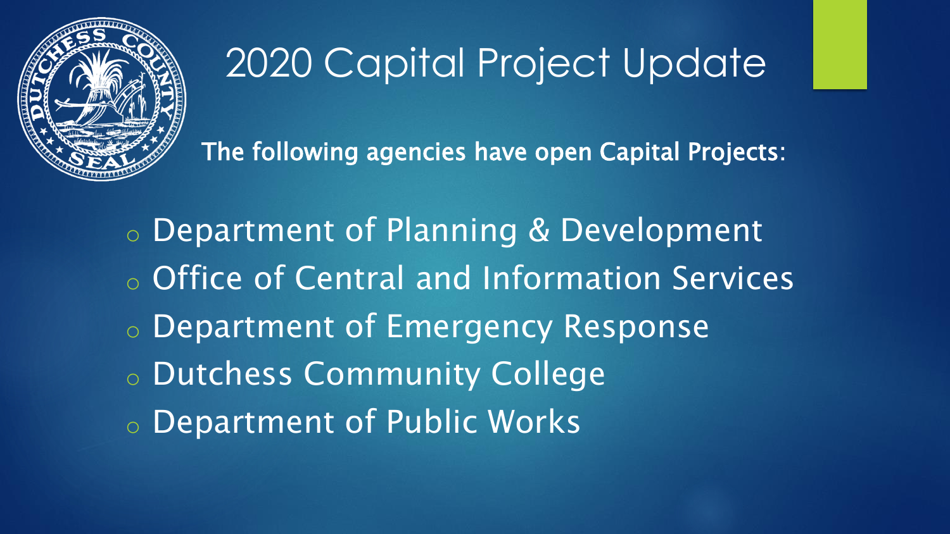

# 2020 Capital Project Update

The following agencies have open Capital Projects:

o Department of Planning & Development o Office of Central and Information Services o Department of Emergency Response o Dutchess Community College o Department of Public Works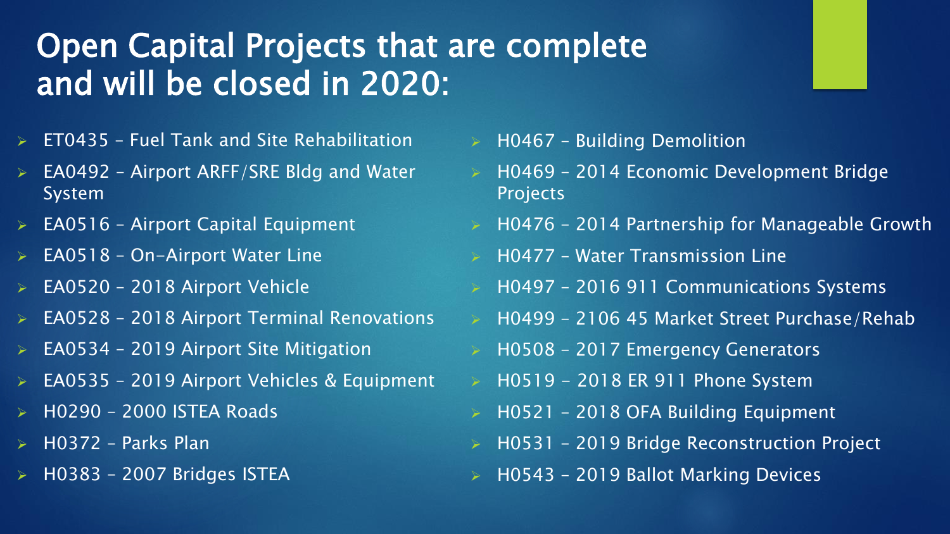### Open Capital Projects that are complete and will be closed in 2020:

- ➢ ET0435 Fuel Tank and Site Rehabilitation
- ➢ EA0492 Airport ARFF/SRE Bldg and Water System
- $\triangleright$  EA0516 Airport Capital Equipment
- ➢ EA0518 On-Airport Water Line
- ➢ EA0520 2018 Airport Vehicle
- ➢ EA0528 2018 Airport Terminal Renovations
- ➢ EA0534 2019 Airport Site Mitigation
- ➢ EA0535 2019 Airport Vehicles & Equipment
- ➢ H0290 2000 ISTEA Roads
- ➢ H0372 Parks Plan
- ➢ H0383 2007 Bridges ISTEA
- ➢ H0467 Building Demolition
- ➢ H0469 2014 Economic Development Bridge Projects
- ➢ H0476 2014 Partnership for Manageable Growth
- ➢ H0477 Water Transmission Line
- ➢ H0497 2016 911 Communications Systems
- ➢ H0499 2106 45 Market Street Purchase/Rehab
- ➢ H0508 2017 Emergency Generators
- $\geq$  H0519 2018 ER 911 Phone System
- ➢ H0521 2018 OFA Building Equipment
- ➢ H0531 2019 Bridge Reconstruction Project
- ➢ H0543 2019 Ballot Marking Devices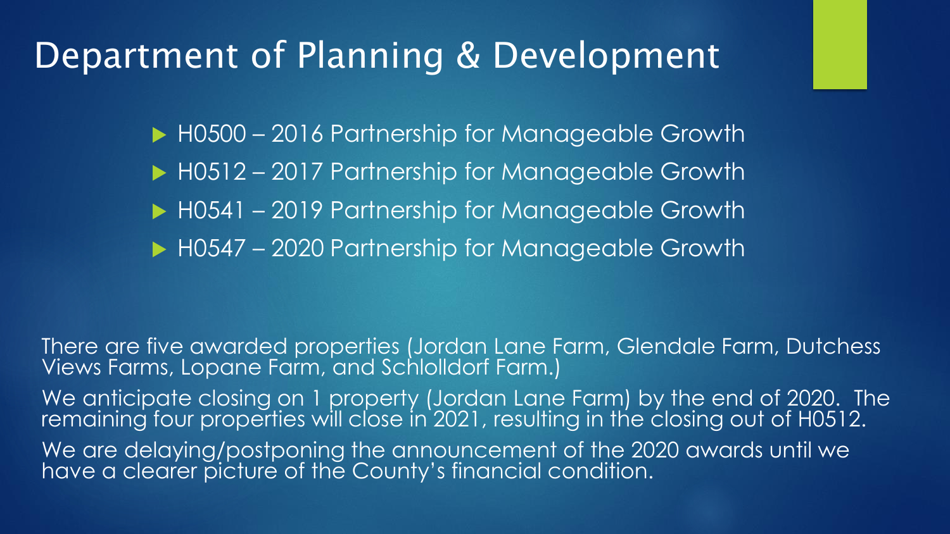### Department of Planning & Development

H0500 – 2016 Partnership for Manageable Growth

- ▶ H0512 2017 Partnership for Manageable Growth
- H0541 2019 Partnership for Manageable Growth
- ▶ H0547 2020 Partnership for Manageable Growth

There are five awarded properties (Jordan Lane Farm, Glendale Farm, Dutchess Views Farms, Lopane Farm, and Schlolldorf Farm.) We anticipate closing on 1 property (Jordan Lane Farm) by the end of 2020. The remaining four properties will close in 2021, resulting in the closing out of H0512. We are delaying/postponing the announcement of the 2020 awards until we have a clearer picture of the County's financial condition.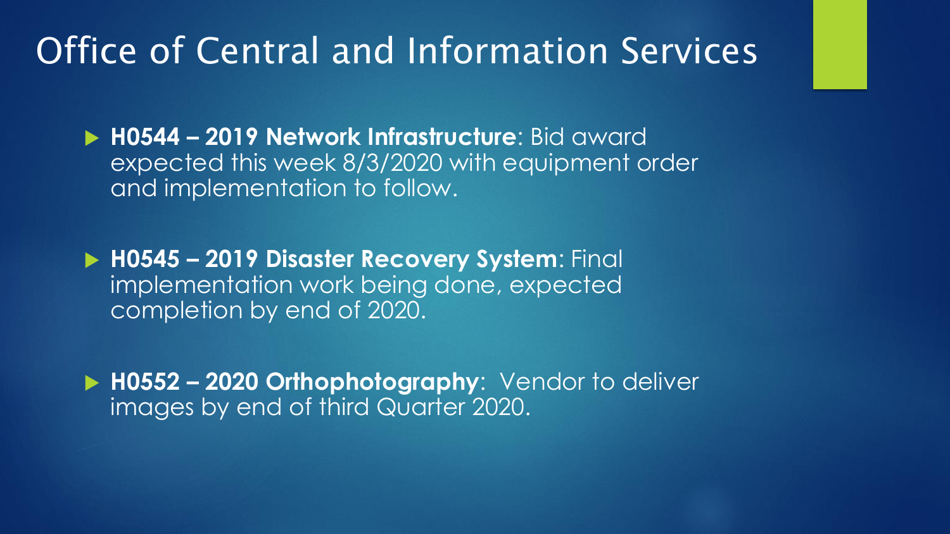## Office of Central and Information Services

 **H0544 – 2019 Network Infrastructure**: Bid award expected this week 8/3/2020 with equipment order and implementation to follow.

 **H0545 – 2019 Disaster Recovery System**: Final implementation work being done, expected completion by end of 2020.

 **H0552 – 2020 Orthophotography**: Vendor to deliver images by end of third Quarter 2020.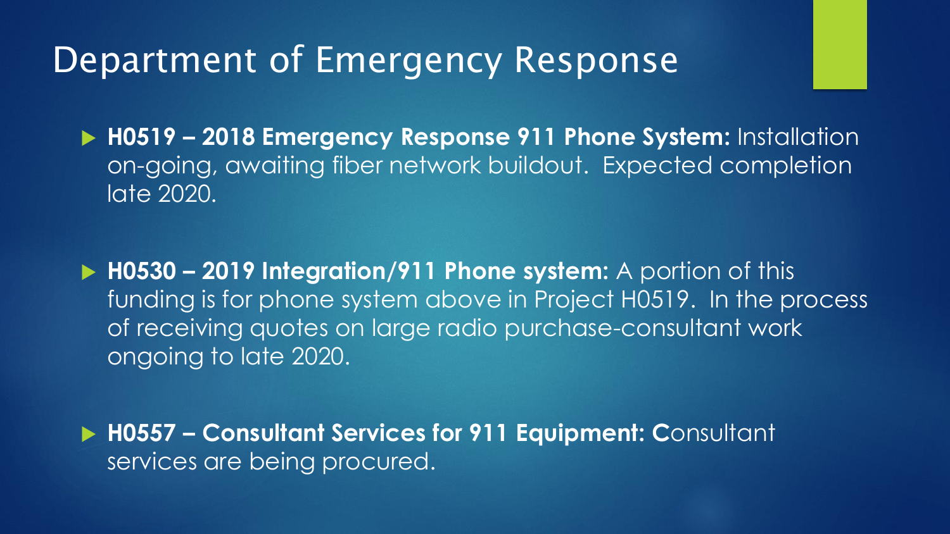### Department of Emergency Response

 **H0519 – 2018 Emergency Response 911 Phone System:** Installation on-going, awaiting fiber network buildout. Expected completion late 2020.

 **H0530 – 2019 Integration/911 Phone system:** A portion of this funding is for phone system above in Project H0519. In the process of receiving quotes on large radio purchase-consultant work ongoing to late 2020.

 **H0557 – Consultant Services for 911 Equipment: C**onsultant services are being procured.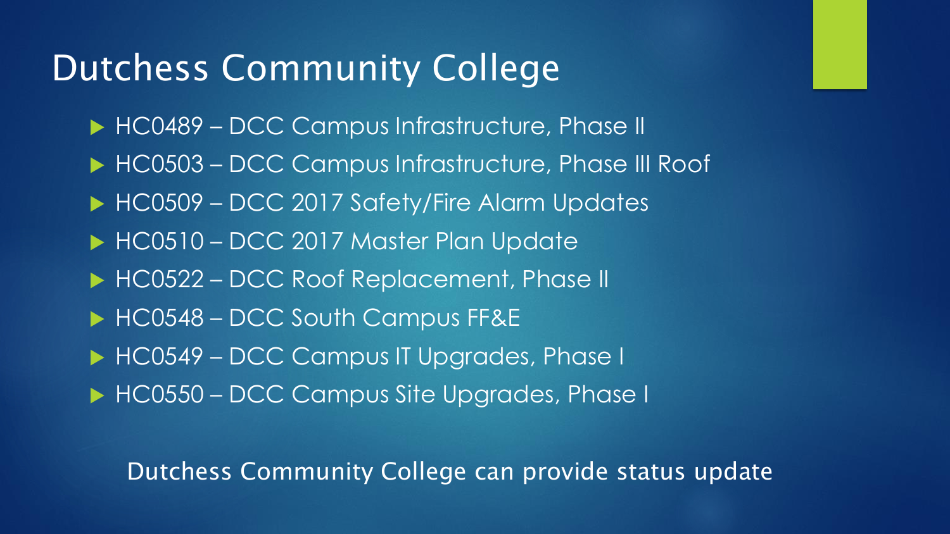### Dutchess Community College

- HC0489 DCC Campus Infrastructure, Phase II
- ▶ HC0503 DCC Campus Infrastructure, Phase III Roof
- HC0509 DCC 2017 Safety/Fire Alarm Updates
- HC0510 DCC 2017 Master Plan Update
- HC0522 DCC Roof Replacement, Phase II
- HC0548 DCC South Campus FF&E
- HC0549 DCC Campus IT Upgrades, Phase I
- HC0550 DCC Campus Site Upgrades, Phase I

#### Dutchess Community College can provide status update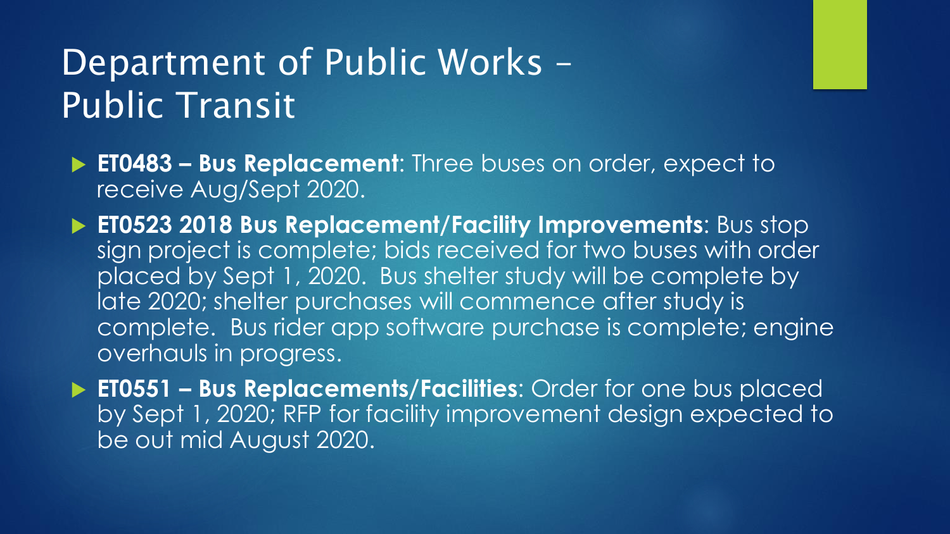# Department of Public Works – Public Transit

- **ET0483 – Bus Replacement**: Three buses on order, expect to receive Aug/Sept 2020.
- **ET0523 2018 Bus Replacement/Facility Improvements**: Bus stop sign project is complete; bids received for two buses with order placed by Sept 1, 2020. Bus shelter study will be complete by late 2020; shelter purchases will commence after study is complete. Bus rider app software purchase is complete; engine overhauls in progress.
- **ET0551 – Bus Replacements/Facilities**: Order for one bus placed by Sept 1, 2020; RFP for facility improvement design expected to be out mid August 2020.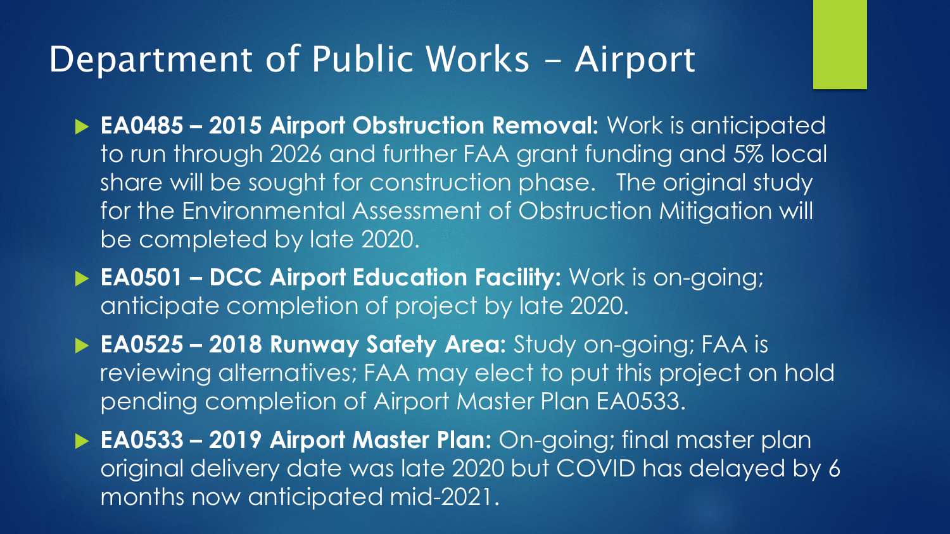### Department of Public Works - Airport

- **EA0485 – 2015 Airport Obstruction Removal:** Work is anticipated to run through 2026 and further FAA grant funding and 5% local share will be sought for construction phase. The original study for the Environmental Assessment of Obstruction Mitigation will be completed by late 2020.
- **EA0501 – DCC Airport Education Facility:** Work is on-going; anticipate completion of project by late 2020.
- **EA0525 – 2018 Runway Safety Area:** Study on-going; FAA is reviewing alternatives; FAA may elect to put this project on hold pending completion of Airport Master Plan EA0533.
- **EA0533 – 2019 Airport Master Plan:** On-going; final master plan original delivery date was late 2020 but COVID has delayed by 6 months now anticipated mid-2021.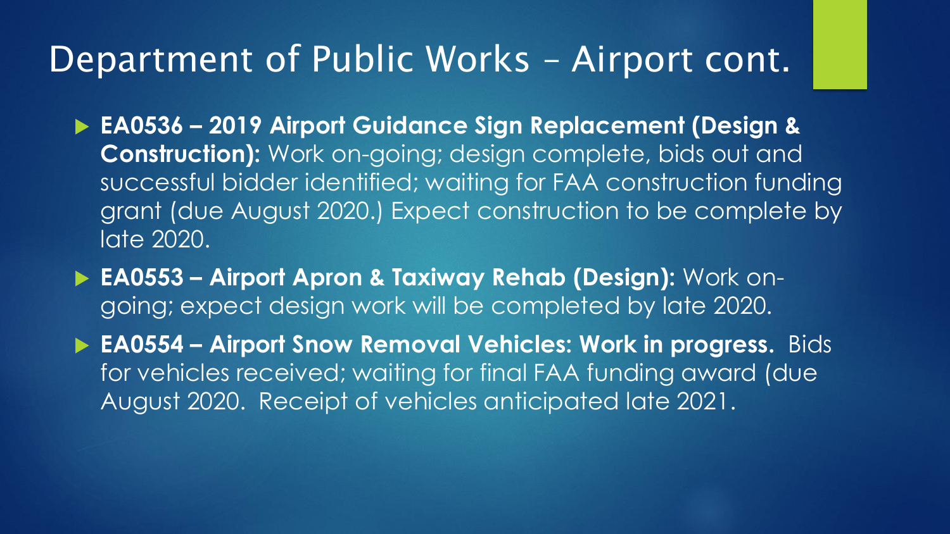#### Department of Public Works – Airport cont.

- **EA0536 – 2019 Airport Guidance Sign Replacement (Design & Construction):** Work on-going; design complete, bids out and successful bidder identified; waiting for FAA construction funding grant (due August 2020.) Expect construction to be complete by late 2020.
- **EA0553 – Airport Apron & Taxiway Rehab (Design):** Work ongoing; expect design work will be completed by late 2020.
- **EA0554 – Airport Snow Removal Vehicles: Work in progress.** Bids for vehicles received; waiting for final FAA funding award (due August 2020. Receipt of vehicles anticipated late 2021.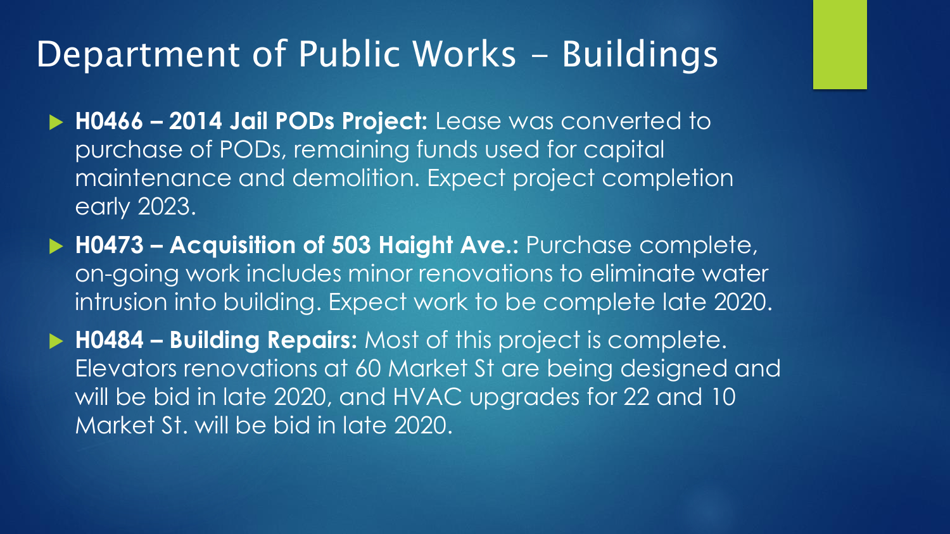### Department of Public Works - Buildings

- **H0466 – 2014 Jail PODs Project:** Lease was converted to purchase of PODs, remaining funds used for capital maintenance and demolition. Expect project completion early 2023.
- **H0473 – Acquisition of 503 Haight Ave.:** Purchase complete, on-going work includes minor renovations to eliminate water intrusion into building. Expect work to be complete late 2020.
- **H0484 – Building Repairs:** Most of this project is complete. Elevators renovations at 60 Market St are being designed and will be bid in late 2020, and HVAC upgrades for 22 and 10 Market St. will be bid in late 2020.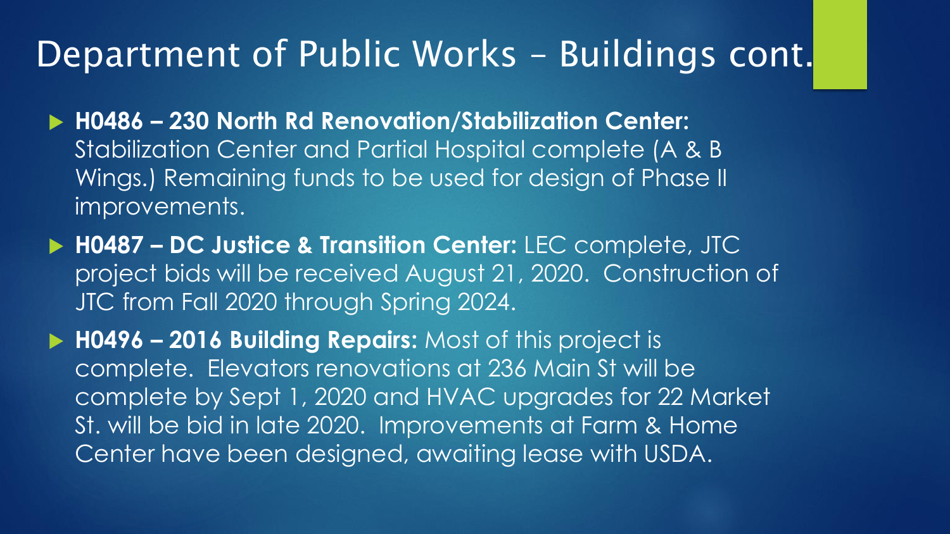#### Department of Public Works – Buildings cont.

- **H0486 – 230 North Rd Renovation/Stabilization Center:**  Stabilization Center and Partial Hospital complete (A & B Wings.) Remaining funds to be used for design of Phase II improvements.
- **H0487 – DC Justice & Transition Center:** LEC complete, JTC project bids will be received August 21, 2020. Construction of JTC from Fall 2020 through Spring 2024.
- **H0496 – 2016 Building Repairs:** Most of this project is complete. Elevators renovations at 236 Main St will be complete by Sept 1, 2020 and HVAC upgrades for 22 Market St. will be bid in late 2020. Improvements at Farm & Home Center have been designed, awaiting lease with USDA.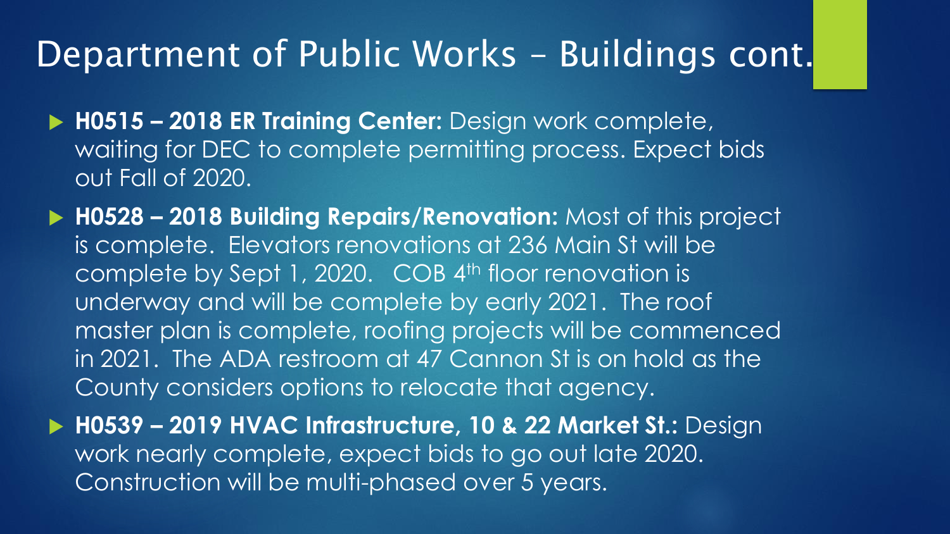### Department of Public Works – Buildings cont.

- **H0515 – 2018 ER Training Center:** Design work complete, waiting for DEC to complete permitting process. Expect bids out Fall of 2020.
- **H0528 – 2018 Building Repairs/Renovation:** Most of this project is complete. Elevators renovations at 236 Main St will be complete by Sept 1, 2020. COB 4<sup>th</sup> floor renovation is underway and will be complete by early 2021. The roof master plan is complete, roofing projects will be commenced in 2021. The ADA restroom at 47 Cannon St is on hold as the County considers options to relocate that agency.
- **H0539 – 2019 HVAC Infrastructure, 10 & 22 Market St.:** Design work nearly complete, expect bids to go out late 2020. Construction will be multi-phased over 5 years.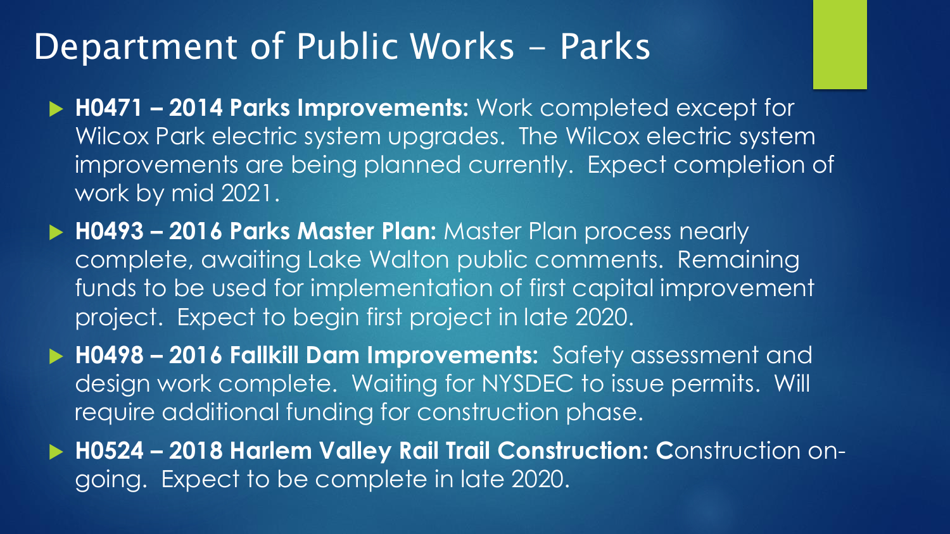#### Department of Public Works - Parks

- **H0471 – 2014 Parks Improvements:** Work completed except for Wilcox Park electric system upgrades. The Wilcox electric system improvements are being planned currently. Expect completion of work by mid 2021.
- **H0493 – 2016 Parks Master Plan:** Master Plan process nearly complete, awaiting Lake Walton public comments. Remaining funds to be used for implementation of first capital improvement project. Expect to begin first project in late 2020.

 **H0498 – 2016 Fallkill Dam Improvements:** Safety assessment and design work complete. Waiting for NYSDEC to issue permits. Will require additional funding for construction phase.

 **H0524 – 2018 Harlem Valley Rail Trail Construction: C**onstruction ongoing. Expect to be complete in late 2020.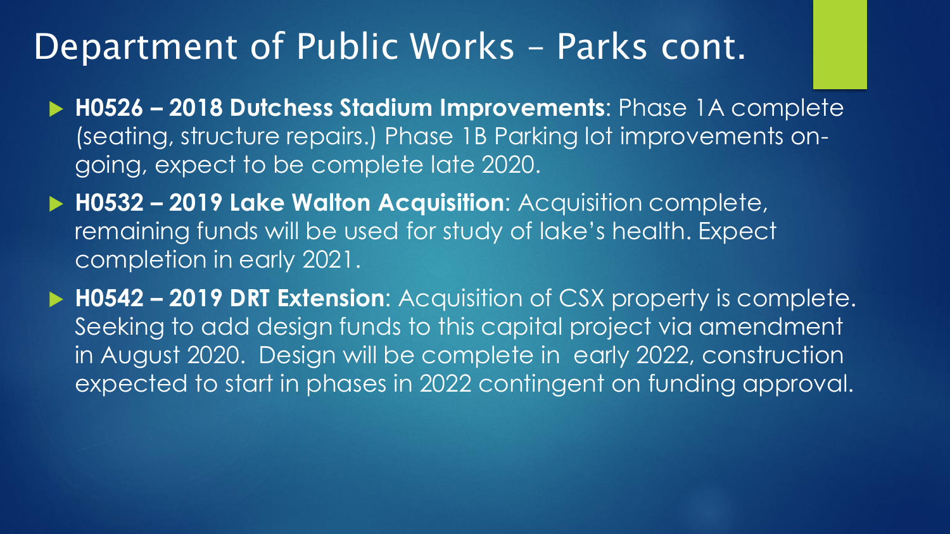#### Department of Public Works – Parks cont.

- **H0526 – 2018 Dutchess Stadium Improvements**: Phase 1A complete (seating, structure repairs.) Phase 1B Parking lot improvements ongoing, expect to be complete late 2020.
- **H0532 – 2019 Lake Walton Acquisition**: Acquisition complete, remaining funds will be used for study of lake's health. Expect completion in early 2021.
- **H0542 – 2019 DRT Extension**: Acquisition of CSX property is complete. Seeking to add design funds to this capital project via amendment in August 2020. Design will be complete in early 2022, construction expected to start in phases in 2022 contingent on funding approval.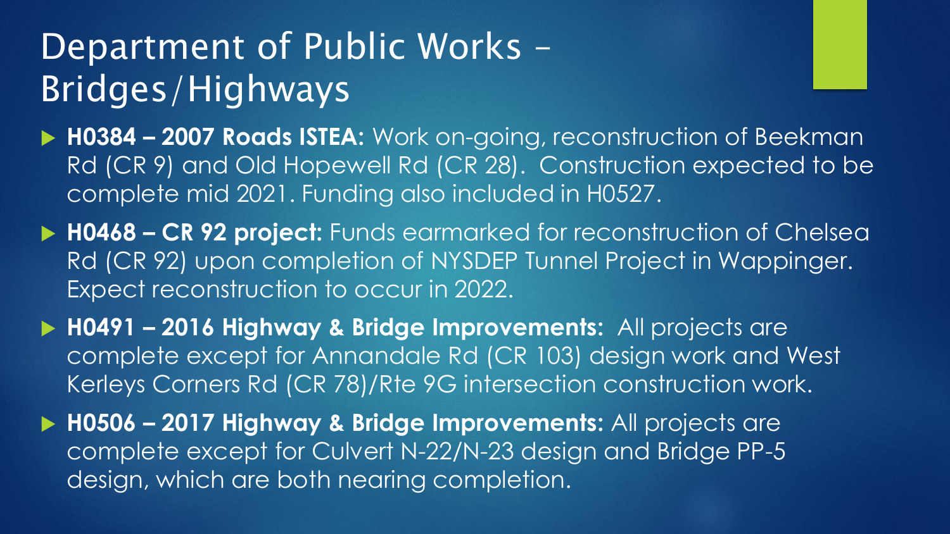# Department of Public Works -Bridges/Highways

- ▶ H0384 2007 Roads ISTEA: Work on-going, reconstruction of Beekman Rd (CR 9) and Old Hopewell Rd (CR 28). Construction expected to be complete mid 2021. Funding also included in H0527.
- ▶ H0468 CR 92 project: Funds earmarked for reconstruction of Chelsea Rd (CR 92) upon completion of NYSDEP Tunnel Project in Wappinger. Expect reconstruction to occur in 2022.
- **H0491 – 2016 Highway & Bridge Improvements:** All projects are complete except for Annandale Rd (CR 103) design work and West Kerleys Corners Rd (CR 78)/Rte 9G intersection construction work.
- **H0506 – 2017 Highway & Bridge Improvements:** All projects are complete except for Culvert N-22/N-23 design and Bridge PP-5 design, which are both nearing completion.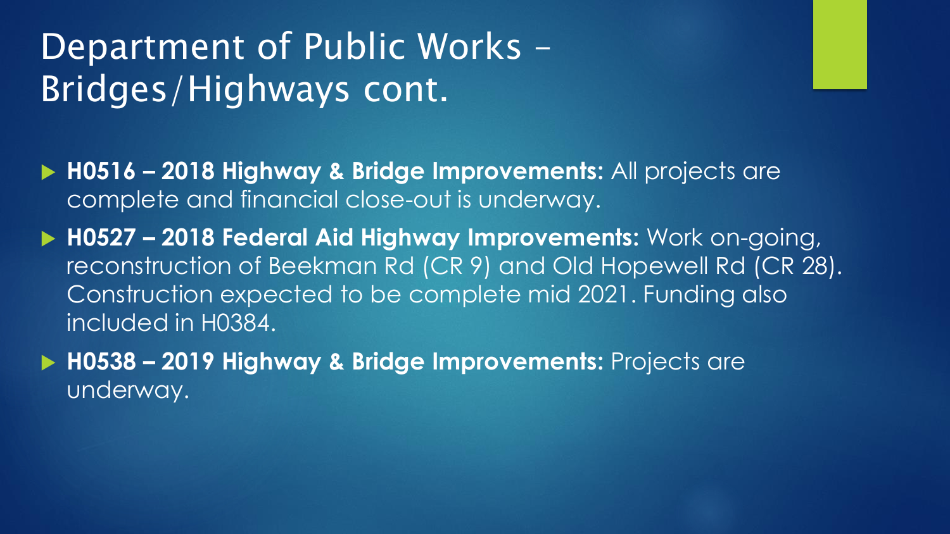# Department of Public Works -Bridges/Highways cont.

- **H0516 – 2018 Highway & Bridge Improvements:** All projects are complete and financial close-out is underway.
- **H0527 – 2018 Federal Aid Highway Improvements:** Work on-going, reconstruction of Beekman Rd (CR 9) and Old Hopewell Rd (CR 28). Construction expected to be complete mid 2021. Funding also included in H0384.
- **H0538 – 2019 Highway & Bridge Improvements:** Projects are underway.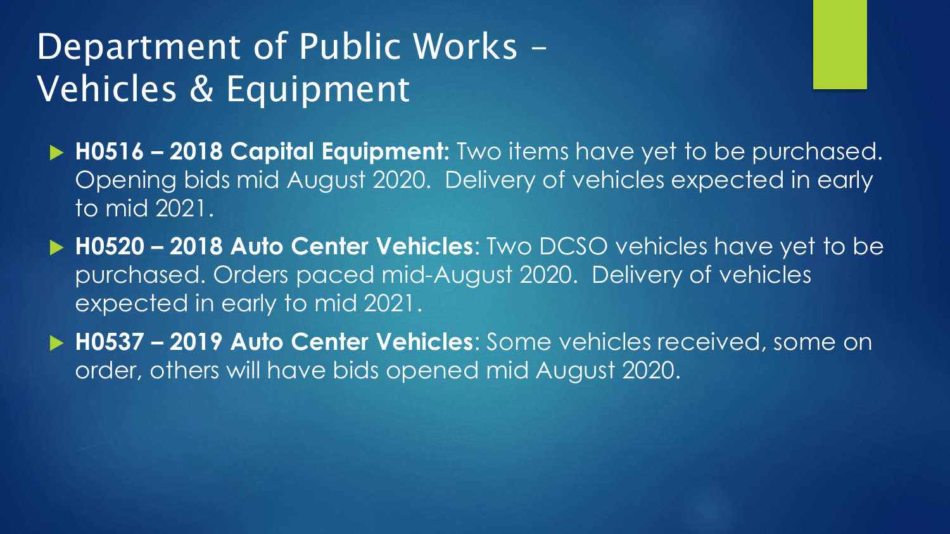# Department of Public Works – Vehicles & Equipment

- **H0516 – 2018 Capital Equipment:** Two items have yet to be purchased. Opening bids mid August 2020. Delivery of vehicles expected in early to mid 2021.
- **H0520 – 2018 Auto Center Vehicles**: Two DCSO vehicles have yet to be purchased. Orders paced mid-August 2020. Delivery of vehicles expected in early to mid 2021.
- **H0537 – 2019 Auto Center Vehicles**: Some vehicles received, some on order, others will have bids opened mid August 2020.